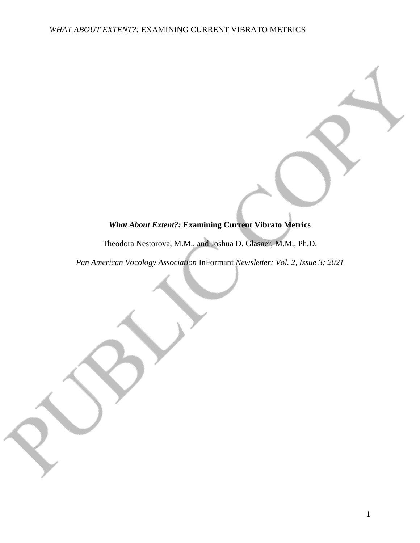# *What About Extent?:* **Examining Current Vibrato Metrics**

Theodora Nestorova, M.M., and Joshua D. Glasner, M.M., Ph.D.

*Pan American Vocology Association* InFormant *Newsletter; Vol. 2, Issue 3; 2021*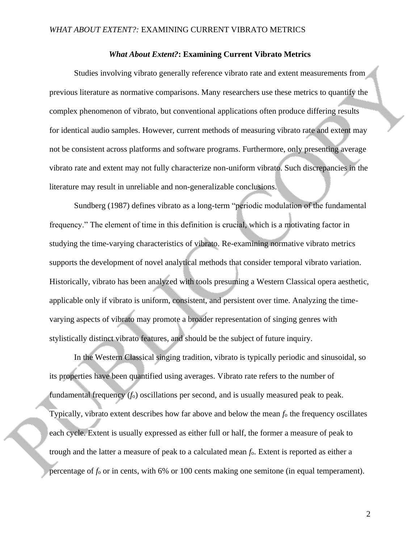#### *What About Extent?***: Examining Current Vibrato Metrics**

Studies involving vibrato generally reference vibrato rate and extent measurements from previous literature as normative comparisons. Many researchers use these metrics to quantify the complex phenomenon of vibrato, but conventional applications often produce differing results for identical audio samples. However, current methods of measuring vibrato rate and extent may not be consistent across platforms and software programs. Furthermore, only presenting average vibrato rate and extent may not fully characterize non-uniform vibrato. Such discrepancies in the literature may result in unreliable and non-generalizable conclusions.

Sundberg (1987) defines vibrato as a long-term "periodic modulation of the fundamental frequency." The element of time in this definition is crucial, which is a motivating factor in studying the time-varying characteristics of vibrato. Re-examining normative vibrato metrics supports the development of novel analytical methods that consider temporal vibrato variation. Historically, vibrato has been analyzed with tools presuming a Western Classical opera aesthetic, applicable only if vibrato is uniform, consistent, and persistent over time. Analyzing the timevarying aspects of vibrato may promote a broader representation of singing genres with stylistically distinct vibrato features, and should be the subject of future inquiry.

In the Western Classical singing tradition, vibrato is typically periodic and sinusoidal, so its properties have been quantified using averages. Vibrato rate refers to the number of fundamental frequency (*f*o) oscillations per second, and is usually measured peak to peak. Typically, vibrato extent describes how far above and below the mean *f*<sup>o</sup> the frequency oscillates each cycle. Extent is usually expressed as either full or half, the former a measure of peak to trough and the latter a measure of peak to a calculated mean *f*o. Extent is reported as either a percentage of *f*<sup>o</sup> or in cents, with 6% or 100 cents making one semitone (in equal temperament).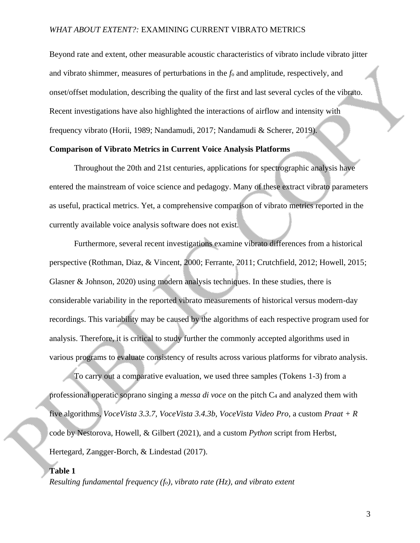Beyond rate and extent, other measurable acoustic characteristics of vibrato include vibrato jitter and vibrato shimmer, measures of perturbations in the *f*<sup>o</sup> and amplitude, respectively, and onset/offset modulation, describing the quality of the first and last several cycles of the vibrato. Recent investigations have also highlighted the interactions of airflow and intensity with frequency vibrato (Horii, 1989; Nandamudi, 2017; Nandamudi & Scherer, 2019).

## **Comparison of Vibrato Metrics in Current Voice Analysis Platforms**

Throughout the 20th and 21st centuries, applications for spectrographic analysis have entered the mainstream of voice science and pedagogy. Many of these extract vibrato parameters as useful, practical metrics. Yet, a comprehensive comparison of vibrato metrics reported in the currently available voice analysis software does not exist.

Furthermore, several recent investigations examine vibrato differences from a historical perspective (Rothman, Diaz, & Vincent, 2000; Ferrante, 2011; Crutchfield, 2012; Howell, 2015; Glasner & Johnson, 2020) using modern analysis techniques. In these studies, there is considerable variability in the reported vibrato measurements of historical versus modern-day recordings. This variability may be caused by the algorithms of each respective program used for analysis. Therefore, it is critical to study further the commonly accepted algorithms used in various programs to evaluate consistency of results across various platforms for vibrato analysis.

To carry out a comparative evaluation, we used three samples (Tokens 1-3) from a professional operatic soprano singing a *messa di voce* on the pitch C<sup>4</sup> and analyzed them with five algorithms, *VoceVista 3.3.7, VoceVista 3.4.3b, VoceVista Video Pro*, a custom *Praat + R* code by Nestorova, Howell, & Gilbert (2021), and a custom *Python* script from Herbst, Hertegard, Zangger-Borch, & Lindestad (2017).

#### **Table 1**

*Resulting fundamental frequency (fo), vibrato rate (Hz), and vibrato extent*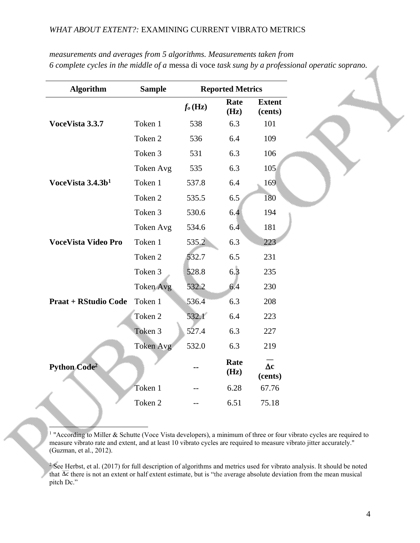| measurements and averages from 5 algorithms. Measurements taken from                             |
|--------------------------------------------------------------------------------------------------|
| 6 complete cycles in the middle of a messa di voce task sung by a professional operatic soprano. |

| <b>Algorithm</b>               | <b>Sample</b> | <b>Reported Metrics</b> |              |                          |
|--------------------------------|---------------|-------------------------|--------------|--------------------------|
|                                |               | $f_{o}$ (Hz)            | Rate<br>(Hz) | <b>Extent</b><br>(cents) |
| VoceVista 3.3.7                | Token 1       | 538                     | 6.3          | 101                      |
|                                | Token 2       | 536                     | 6.4          | 109                      |
|                                | Token 3       | 531                     | 6.3          | 106                      |
|                                | Token Avg     | 535                     | 6.3          | 105                      |
| VoceVista 3.4.3b <sup>1</sup>  | Token 1       | 537.8                   | 6.4          | 169                      |
|                                | Token 2       | 535.5                   | 6.5          | 180                      |
|                                | Token 3       | 530.6                   | 6.4          | 194                      |
|                                | Token Avg     | 534.6                   | 6.4          | 181                      |
| <b>VoceVista Video Pro</b>     | Token 1       | 535.2                   | 6.3          | 223                      |
|                                | Token 2       | 532.7                   | 6.5          | 231                      |
|                                | Token 3       | 528.8                   | 6.3          | 235                      |
|                                | Token Avg     | 532.2                   | 6.4          | 230                      |
| <b>Praat + RStudio Code</b>    | Token 1       | 536.4                   | 6.3          | 208                      |
|                                | Token 2       | 532.1                   | 6.4          | 223                      |
|                                | Token 3       | 527.4                   | 6.3          | 227                      |
| <b>Python Code<sup>2</sup></b> | Token Avg     | 532.0                   | 6.3          | 219                      |
|                                |               |                         | Rate<br>(Hz) | $\Delta c$<br>(cents)    |
|                                | Token 1       |                         | 6.28         | 67.76                    |
|                                | Token 2       |                         | 6.51         | 75.18                    |

<sup>1</sup> "According to Miller & Schutte (Voce Vista developers), a minimum of three or four vibrato cycles are required to measure vibrato rate and extent, and at least 10 vibrato cycles are required to measure vibrato jitter accurately." (Guzman, et al., 2012).

 $2$  See Herbst, et al. (2017) for full description of algorithms and metrics used for vibrato analysis. It should be noted that  $\overline{\Delta c}$  there is not an extent or half extent estimate, but is "the average absolute deviation from the mean musical pitch Dc."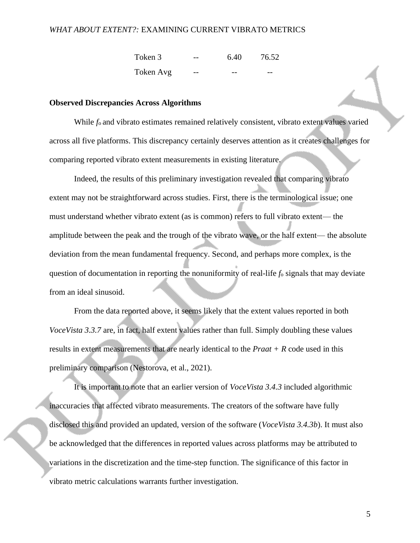| Token 3   | 6.40 | 76.52 |
|-----------|------|-------|
| Token Avg |      |       |

#### **Observed Discrepancies Across Algorithms**

While  $f_0$  and vibrato estimates remained relatively consistent, vibrato extent values varied across all five platforms. This discrepancy certainly deserves attention as it creates challenges for comparing reported vibrato extent measurements in existing literature.

Indeed, the results of this preliminary investigation revealed that comparing vibrato extent may not be straightforward across studies. First, there is the terminological issue; one must understand whether vibrato extent (as is common) refers to full vibrato extent— the amplitude between the peak and the trough of the vibrato wave, or the half extent— the absolute deviation from the mean fundamental frequency. Second, and perhaps more complex, is the question of documentation in reporting the nonuniformity of real-life *f*<sup>o</sup> signals that may deviate from an ideal sinusoid.

From the data reported above, it seems likely that the extent values reported in both *VoceVista 3.3.7* are, in fact, half extent values rather than full. Simply doubling these values results in extent measurements that are nearly identical to the *Praat + R* code used in this preliminary comparison (Nestorova, et al., 2021).

It is important to note that an earlier version of *VoceVista 3.4.3* included algorithmic inaccuracies that affected vibrato measurements. The creators of the software have fully disclosed this and provided an updated, version of the software (*VoceVista 3.4.3b*). It must also be acknowledged that the differences in reported values across platforms may be attributed to variations in the discretization and the time-step function. The significance of this factor in vibrato metric calculations warrants further investigation.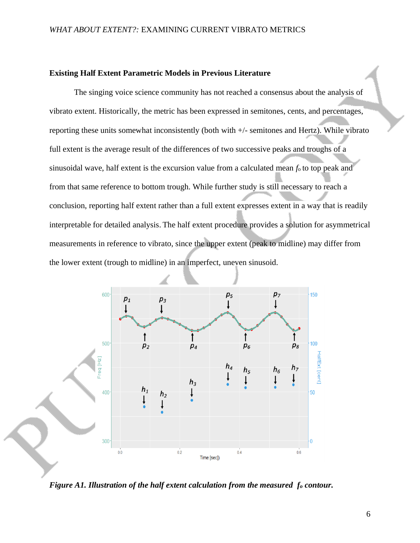## **Existing Half Extent Parametric Models in Previous Literature**

The singing voice science community has not reached a consensus about the analysis of vibrato extent. Historically, the metric has been expressed in semitones, cents, and percentages, reporting these units somewhat inconsistently (both with +/- semitones and Hertz). While vibrato full extent is the average result of the differences of two successive peaks and troughs of a sinusoidal wave, half extent is the excursion value from a calculated mean *f*o to top peak and from that same reference to bottom trough. While further study is still necessary to reach a conclusion, reporting half extent rather than a full extent expresses extent in a way that is readily interpretable for detailed analysis. The half extent procedure provides a solution for asymmetrical measurements in reference to vibrato, since the upper extent (peak to midline) may differ from the lower extent (trough to midline) in an imperfect, uneven sinusoid.



*Figure A1. Illustration of the half extent calculation from the measured f<sup>o</sup> contour.*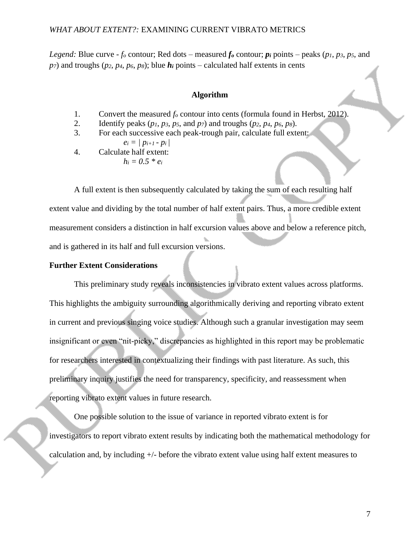*Legend:* Blue curve - *f<sub>o</sub>* contour; Red dots – measured *f<sub>o</sub>* contour;  $p_i$  points – peaks ( $p_1$ ,  $p_3$ ,  $p_5$ , and  $p_7$ ) and troughs ( $p_2$ ,  $p_4$ ,  $p_6$ ,  $p_8$ ); blue  $h_i$  points – calculated half extents in cents

## **Algorithm**

- 1. Convert the measured *f<sup>o</sup>* contour into cents (formula found in Herbst, 2012).
- 2. Identify peaks (*p1*, *p3*, *p5*, and *p7*) and troughs (*p2*, *p4*, *p6*, *p8*).
- 3. For each successive each peak-trough pair, calculate full extent: *e<sup>i</sup> = | pi+1 - pi |*

$$
ei - \frac{\rho_{i+1} - \rho_i}{\rho}
$$

4. Calculate half extent:  $h_i = 0.5 * e_i$ 

A full extent is then subsequently calculated by taking the sum of each resulting half extent value and dividing by the total number of half extent pairs. Thus, a more credible extent measurement considers a distinction in half excursion values above and below a reference pitch, and is gathered in its half and full excursion versions.

## **Further Extent Considerations**

This preliminary study reveals inconsistencies in vibrato extent values across platforms. This highlights the ambiguity surrounding algorithmically deriving and reporting vibrato extent in current and previous singing voice studies. Although such a granular investigation may seem insignificant or even "nit-picky," discrepancies as highlighted in this report may be problematic for researchers interested in contextualizing their findings with past literature. As such, this preliminary inquiry justifies the need for transparency, specificity, and reassessment when reporting vibrato extent values in future research.

One possible solution to the issue of variance in reported vibrato extent is for investigators to report vibrato extent results by indicating both the mathematical methodology for calculation and, by including +/- before the vibrato extent value using half extent measures to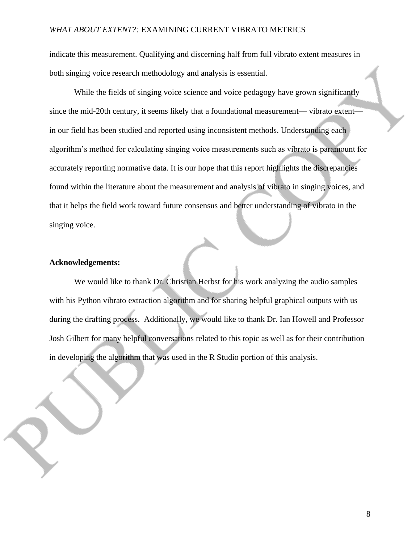indicate this measurement. Qualifying and discerning half from full vibrato extent measures in both singing voice research methodology and analysis is essential.

While the fields of singing voice science and voice pedagogy have grown significantly since the mid-20th century, it seems likely that a foundational measurement— vibrato extent in our field has been studied and reported using inconsistent methods. Understanding each algorithm's method for calculating singing voice measurements such as vibrato is paramount for accurately reporting normative data. It is our hope that this report highlights the discrepancies found within the literature about the measurement and analysis of vibrato in singing voices, and that it helps the field work toward future consensus and better understanding of vibrato in the singing voice.

#### **Acknowledgements:**

We would like to thank Dr. Christian Herbst for his work analyzing the audio samples with his Python vibrato extraction algorithm and for sharing helpful graphical outputs with us during the drafting process. Additionally, we would like to thank Dr. Ian Howell and Professor Josh Gilbert for many helpful conversations related to this topic as well as for their contribution in developing the algorithm that was used in the R Studio portion of this analysis.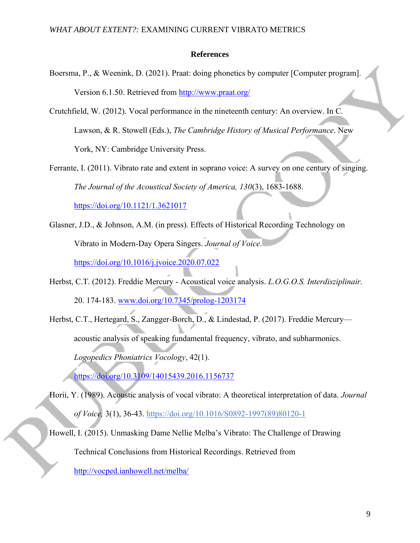#### **References**

- Boersma, P., & Weenink, D. (2021). Praat: doing phonetics by computer [Computer program]. Version 6.1.50. Retrieved from<http://www.praat.org/>
- Crutchfield, W. (2012). Vocal performance in the nineteenth century: An overview. In C. Lawson, & R. Stowell (Eds.), *The Cambridge History of Musical Performance*. New York, NY: Cambridge University Press.

Ferrante, I. (2011). Vibrato rate and extent in soprano voice: A survey on one century of singing. *The Journal of the Acoustical Society of America, 130*(3), 1683-1688.

<https://doi.org/10.1121/1.3621017>

- Glasner, J.D., & Johnson, A.M. (in press). Effects of Historical Recording Technology on Vibrato in Modern-Day Opera Singers. *Journal of Voice*. <https://doi.org/10.1016/j.jvoice.2020.07.022>
- Herbst, C.T. (2012). Freddie Mercury Acoustical voice analysis. *L.O.G.O.S. Interdisziplinair.* 20. 174-183. [www.doi.org/10.7345/prolog-1203174](http://www.doi.org/10.7345/prolog-1203174)
- Herbst, C.T., Hertegard, S., Zangger-Borch, D., & Lindestad, P. (2017). Freddie Mercury acoustic analysis of speaking fundamental frequency, vibrato, and subharmonics. *Logopedics Phoniatrics Vocology*, 42(1).

<https://doi.org/10.3109/14015439.2016.1156737>

- Horii, Y. (1989). Acoustic analysis of vocal vibrato: A theoretical interpretation of data. *Journal of Voice,* 3(1), 36-43. [https://doi.org/10.1016/S0892-1997\(89\)80120-1](https://doi.org/10.1016/S0892-1997(89)80120-1)
- Howell, I. (2015). Unmasking Dame Nellie Melba's Vibrato: The Challenge of Drawing Technical Conclusions from Historical Recordings. Retrieved from <http://vocped.ianhowell.net/melba/>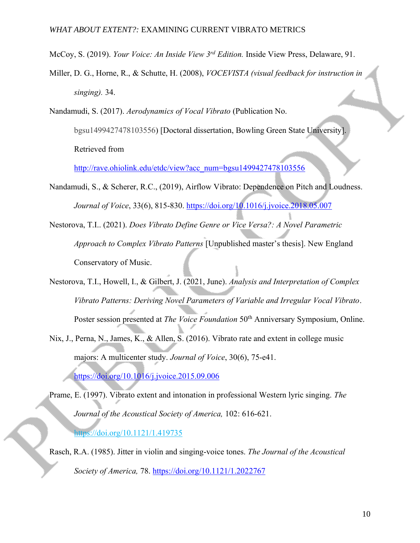McCoy, S. (2019). *Your Voice: An Inside View 3rd Edition.* Inside View Press, Delaware, 91.

- Miller, D. G., Horne, R., & Schutte, H. (2008), *VOCEVISTA (visual feedback for instruction in singing).* 34.
- Nandamudi, S. (2017). *Aerodynamics of Vocal Vibrato* (Publication No.

bgsu1499427478103556) [Doctoral dissertation, Bowling Green State University]. Retrieved from

[http://rave.ohiolink.edu/etdc/view?acc\\_num=bgsu1499427478103556](http://rave.ohiolink.edu/etdc/view?acc_num=bgsu1499427478103556)

- Nandamudi, S., & Scherer, R.C., (2019), Airflow Vibrato: Dependence on Pitch and Loudness. *Journal of Voice*, 33(6), 815-830. <https://doi.org/10.1016/j.jvoice.2018.05.007>
- Nestorova, T.I.. (2021). *Does Vibrato Define Genre or Vice Versa?: A Novel Parametric Approach to Complex Vibrato Patterns* [Unpublished master's thesis]. New England Conservatory of Music.
- Nestorova, T.I., Howell, I., & Gilbert, J. (2021, June). *Analysis and Interpretation of Complex Vibrato Patterns: Deriving Novel Parameters of Variable and Irregular Vocal Vibrato*. Poster session presented at *The Voice Foundation* 50<sup>th</sup> Anniversary Symposium, Online.
- Nix, J., Perna, N., James, K., & Allen, S. (2016). Vibrato rate and extent in college music majors: A multicenter study. *Journal of Voice*, 30(6), 75-e41.

<https://doi.org/10.1016/j.jvoice.2015.09.006>

Prame, E. (1997). Vibrato extent and intonation in professional Western lyric singing. *The Journal of the Acoustical Society of America,* 102: 616-621.

<https://doi.org/10.1121/1.419735>

Rasch, R.A. (1985). Jitter in violin and singing-voice tones. *The Journal of the Acoustical Society of America,* 78. <https://doi.org/10.1121/1.2022767>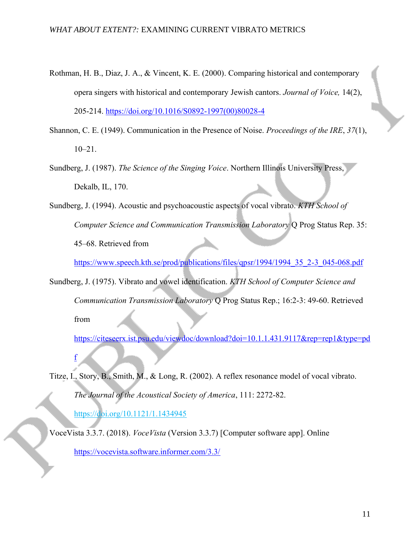- Rothman, H. B., Diaz, J. A., & Vincent, K. E. (2000). Comparing historical and contemporary opera singers with historical and contemporary Jewish cantors. *Journal of Voice,* 14(2), 205-214. [https://doi.org/10.1016/S0892-1997\(00\)80028-4](https://doi.org/10.1016/S0892-1997(00)80028-4)
- Shannon, C. E. (1949). Communication in the Presence of Noise. *Proceedings of the IRE*, *37*(1), 10–21.
- Sundberg, J. (1987). *The Science of the Singing Voice*. Northern Illinois University Press, Dekalb, IL, 170.
- Sundberg, J. (1994). Acoustic and psychoacoustic aspects of vocal vibrato. *KTH School of Computer Science and Communication Transmission Laboratory* Q Prog Status Rep. 35: 45–68. Retrieved from

[https://www.speech.kth.se/prod/publications/files/qpsr/1994/1994\\_35\\_2-3\\_045-068.pdf](https://www.speech.kth.se/prod/publications/files/qpsr/1994/1994_35_2-3_045-068.pdf)

Sundberg, J. (1975). Vibrato and vowel identification. *KTH School of Computer Science and Communication Transmission Laboratory* Q Prog Status Rep.; 16:2-3: 49-60. Retrieved from

[https://citeseerx.ist.psu.edu/viewdoc/download?doi=10.1.1.431.9117&rep=rep1&type=pd](https://citeseerx.ist.psu.edu/viewdoc/download?doi=10.1.1.431.9117&rep=rep1&type=pdf)

Titze, I., Story, B., Smith, M., & Long, R. (2002). A reflex resonance model of vocal vibrato. *The Journal of the Acoustical Society of America*, 111: 2272-82. <https://doi.org/10.1121/1.1434945>

VoceVista 3.3.7. (2018). *VoceVista* (Version 3.3.7) [Computer software app]. Online <https://vocevista.software.informer.com/3.3/>

[f](https://citeseerx.ist.psu.edu/viewdoc/download?doi=10.1.1.431.9117&rep=rep1&type=pdf)